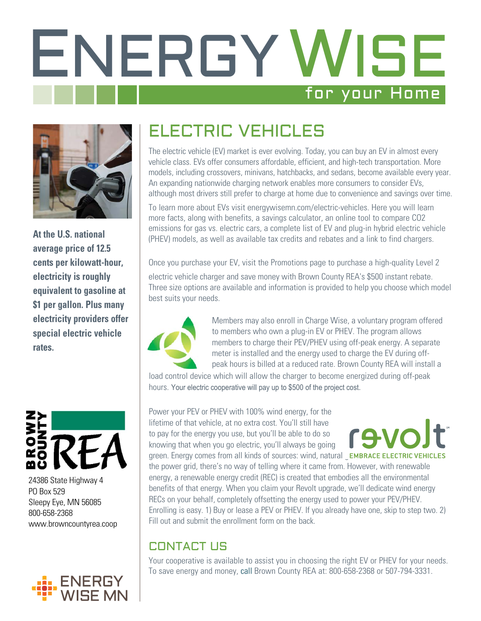# ENERGY WISE for your Home



**At the U.S. national average price of 12.5 cents per kilowatt-hour, electricity is roughly equivalent to gasoline at \$1 per gallon. Plus many electricity providers offer special electric vehicle rates.**



24386 State Highway 4 PO Box 529 Sleepy Eye, MN 56085 800-658-2368 www.browncountyrea.coop



## ELECTRIC VEHICLES

The electric vehicle (EV) market is ever evolving. Today, you can buy an EV in almost every vehicle class. EVs offer consumers affordable, efficient, and high-tech transportation. More models, including crossovers, minivans, hatchbacks, and sedans, become available every year. An expanding nationwide charging network enables more consumers to consider EVs, although most drivers still prefer to charge at home due to convenience and savings over time.

To learn more about EVs visit energywisemn.com/electric-vehicles. Here you will learn more facts, along with benefits, a savings calculator, an online tool to compare CO2 emissions for gas vs. electric cars, a complete list of EV and plug-in hybrid electric vehicle (PHEV) models, as well as available tax credits and rebates and a link to find chargers.

Once you purchase your EV, visit the Promotions page to purchase a high-quality Level 2 electric vehicle charger and save money with Brown County REA's \$500 instant rebate. Three size options are available and information is provided to help you choose which model best suits your needs.



Members may also enroll in Charge Wise, a voluntary program offered to members who own a plug-in EV or PHEV. The program allows members to charge their PEV/PHEV using off-peak energy. A separate meter is installed and the energy used to charge the EV during offpeak hours is billed at a reduced rate. Brown County REA will install a

load control device which will allow the charger to become energized during off-peak hours. Your electric cooperative will pay up to \$500 of the project cost.

Power your PEV or PHEV with 100% wind energy, for the lifetime of that vehicle, at no extra cost. You'll still have to pay for the energy you use, but you'll be able to do so knowing that when you go electric, you'll always be going

**CAV** 

green. Energy comes from all kinds of sources: wind, natural EMBRACE ELECTRIC VEHICLES the power grid, there's no way of telling where it came from. However, with renewable energy, a renewable energy credit (REC) is created that embodies all the environmental benefits of that energy. When you claim your Revolt upgrade, we'll dedicate wind energy RECs on your behalf, completely offsetting the energy used to power your PEV/PHEV. Enrolling is easy. 1) Buy or lease a PEV or PHEV. If you already have one, skip to step two. 2) Fill out and submit the enrollment form on the back.

### CONTACT US

Your cooperative is available to assist you in choosing the right EV or PHEV for your needs. To save energy and money, call Brown County REA at: 800-658-2368 or 507-794-3331.